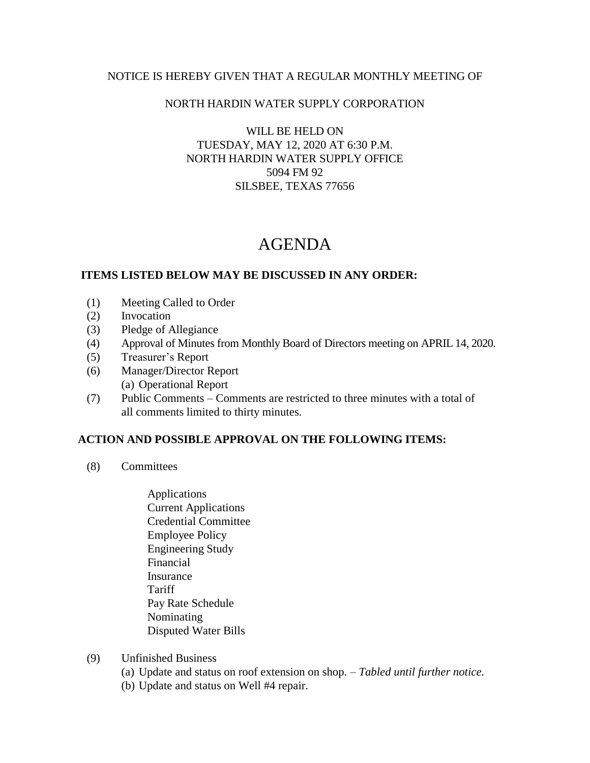## NOTICE IS HEREBY GIVEN THAT A REGULAR MONTHLY MEETING OF

### NORTH HARDIN WATER SUPPLY CORPORATION

WILL BE HELD ON TUESDAY, MAY 12, 2020 AT 6:30 P.M. NORTH HARDIN WATER SUPPLY OFFICE 5094 FM 92 SILSBEE, TEXAS 77656

# AGENDA

### **ITEMS LISTED BELOW MAY BE DISCUSSED IN ANY ORDER:**

- (1) Meeting Called to Order
- (2) Invocation
- (3) Pledge of Allegiance
- (4) Approval of Minutes from Monthly Board of Directors meeting on APRIL 14, 2020.
- (5) Treasurer's Report
- (6) Manager/Director Report (a) Operational Report
- (7) Public Comments Comments are restricted to three minutes with a total of all comments limited to thirty minutes.

#### **ACTION AND POSSIBLE APPROVAL ON THE FOLLOWING ITEMS:**

- (8) Committees
	- Applications Current Applications Credential Committee Employee Policy Engineering Study Financial Insurance **Tariff**  Pay Rate Schedule Nominating Disputed Water Bills
- (9) Unfinished Business
	- (a) Update and status on roof extension on shop. *Tabled until further notice.*
	- (b) Update and status on Well #4 repair.